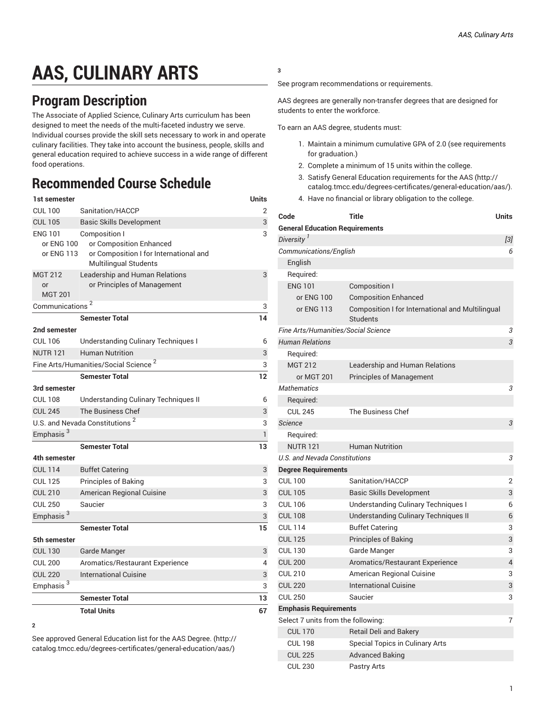# **AAS, CULINARY ARTS**

### **Program Description**

The Associate of Applied Science, Culinary Arts curriculum has been designed to meet the needs of the multi-faceted industry we serve. Individual courses provide the skill sets necessary to work in and operate culinary facilities. They take into account the business, people, skills and general education required to achieve success in a wide range of different food operations.

## **Recommended Course Schedule**

| 1st semester                               |                                                                                                                    | Units        |
|--------------------------------------------|--------------------------------------------------------------------------------------------------------------------|--------------|
| <b>CUL 100</b>                             | Sanitation/HACCP                                                                                                   | 2            |
| <b>CUL 105</b>                             | <b>Basic Skills Development</b>                                                                                    | 3            |
| ENG 101<br>or ENG 100<br>or ENG 113        | Composition I<br>or Composition Enhanced<br>or Composition I for International and<br><b>Multilingual Students</b> | 3            |
| <b>MGT 212</b><br>or<br><b>MGT 201</b>     | Leadership and Human Relations<br>or Principles of Management                                                      | 3            |
| Communications <sup>2</sup>                |                                                                                                                    |              |
|                                            | <b>Semester Total</b>                                                                                              | 14           |
| 2nd semester                               |                                                                                                                    |              |
| <b>CUL 106</b>                             | <b>Understanding Culinary Techniques I</b>                                                                         | 6            |
| <b>NUTR 121</b>                            | <b>Human Nutrition</b>                                                                                             | 3            |
|                                            | Fine Arts/Humanities/Social Science <sup>2</sup>                                                                   | 3            |
|                                            | <b>Semester Total</b>                                                                                              | 12           |
| 3rd semester                               |                                                                                                                    |              |
| <b>CUL 108</b>                             | Understanding Culinary Techniques II                                                                               | 6            |
| <b>CUL 245</b>                             | The Business Chef                                                                                                  | 3            |
| U.S. and Nevada Constitutions <sup>2</sup> | 3                                                                                                                  |              |
| Emphasis <sup>3</sup>                      |                                                                                                                    | $\mathbf{1}$ |
|                                            | <b>Semester Total</b>                                                                                              | 13           |
| 4th semester                               |                                                                                                                    |              |
| <b>CUL 114</b>                             | <b>Buffet Catering</b>                                                                                             | 3            |
| <b>CUL 125</b>                             | Principles of Baking                                                                                               | 3            |
| <b>CUL 210</b>                             | American Regional Cuisine                                                                                          | 3            |
| <b>CUL 250</b>                             | Saucier                                                                                                            | 3            |
| Emphasis <sup>3</sup>                      |                                                                                                                    | 3            |
|                                            | <b>Semester Total</b>                                                                                              | 15           |
| 5th semester                               |                                                                                                                    |              |
| <b>CUL 130</b>                             | Garde Manger                                                                                                       | 3            |
| <b>CUL 200</b>                             | Aromatics/Restaurant Experience                                                                                    | 4            |
| <b>CUL 220</b>                             | <b>International Cuisine</b>                                                                                       | 3            |
| Emphasis <sup>3</sup>                      |                                                                                                                    | 3            |
|                                            | <b>Semester Total</b>                                                                                              | 13           |
|                                            | <b>Total Units</b>                                                                                                 | 67           |

**<sup>2</sup>**

See approved General [Education](http://catalog.tmcc.edu/degrees-certificates/general-education/aas/) list for the AAS Degree. [\(http://](http://catalog.tmcc.edu/degrees-certificates/general-education/aas/) [catalog.tmcc.edu/degrees-certificates/general-education/aas/\)](http://catalog.tmcc.edu/degrees-certificates/general-education/aas/)

#### **3**

See program recommendations or requirements.

AAS degrees are generally non-transfer degrees that are designed for students to enter the workforce.

To earn an AAS degree, students must:

- 1. Maintain a minimum cumulative GPA of 2.0 (see requirements for graduation.)
- 2. Complete a minimum of 15 units within the college.
- 3. Satisfy General Education [requirements](http://catalog.tmcc.edu/degrees-certificates/general-education/aas/) for the AAS [\(http://](http://catalog.tmcc.edu/degrees-certificates/general-education/aas/) [catalog.tmcc.edu/degrees-certificates/general-education/aas/](http://catalog.tmcc.edu/degrees-certificates/general-education/aas/)).
- 4. Have no financial or library obligation to the college.

| Code                                    | <b>Title</b>                                                 | <b>Units</b>   |
|-----------------------------------------|--------------------------------------------------------------|----------------|
| <b>General Education Requirements</b>   |                                                              |                |
| Diversity <sup>1</sup>                  |                                                              | $[3]$          |
| Communications/English                  |                                                              | 6              |
| English                                 |                                                              |                |
| Required:                               |                                                              |                |
| <b>ENG 101</b>                          | Composition I                                                |                |
| or ENG 100                              | <b>Composition Enhanced</b>                                  |                |
| or ENG 113                              | Composition I for International and Multilingual<br>Students |                |
| Fine Arts/Humanities/Social Science     |                                                              | 3              |
| <b>Human Relations</b>                  |                                                              | 3              |
| Required:                               |                                                              |                |
| <b>MGT 212</b>                          | Leadership and Human Relations                               |                |
| or MGT 201                              | <b>Principles of Management</b>                              |                |
| <b>Mathematics</b>                      |                                                              | 3              |
| Required:                               |                                                              |                |
| <b>CUL 245</b>                          | <b>The Business Chef</b>                                     |                |
| <b>Science</b>                          |                                                              | 3              |
| Required:                               |                                                              |                |
| <b>NUTR 121</b>                         | <b>Human Nutrition</b>                                       |                |
| U.S. and Nevada Constitutions           |                                                              | 3              |
| <b>Degree Requirements</b>              |                                                              |                |
| <b>CUL 100</b>                          | Sanitation/HACCP                                             | $\overline{2}$ |
| <b>CUL 105</b>                          | <b>Basic Skills Development</b>                              | 3              |
| <b>CUL 106</b>                          | Understanding Culinary Techniques I                          | 6              |
| <b>CUL 108</b>                          | <b>Understanding Culinary Techniques II</b>                  | 6              |
| <b>CUL 114</b>                          | <b>Buffet Catering</b>                                       | 3              |
| <b>CUL 125</b>                          | Principles of Baking                                         | 3              |
| <b>CUL 130</b>                          | Garde Manger                                                 | 3              |
| <b>CUL 200</b>                          | Aromatics/Restaurant Experience                              | 4              |
| <b>CUL 210</b>                          | American Regional Cuisine                                    | 3              |
| <b>CUL 220</b>                          | <b>International Cuisine</b>                                 | 3              |
| <b>CUL 250</b>                          | Saucier                                                      | 3              |
| <b>Emphasis Requirements</b>            |                                                              |                |
| 7<br>Select 7 units from the following: |                                                              |                |
| <b>CUL 170</b>                          | Retail Deli and Bakery                                       |                |
| <b>CUL 198</b>                          | Special Topics in Culinary Arts                              |                |
| <b>CUL 225</b>                          | <b>Advanced Baking</b>                                       |                |
| <b>CUL 230</b>                          | Pastry Arts                                                  |                |